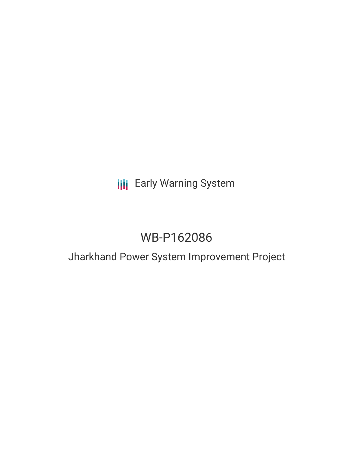# **III** Early Warning System

# WB-P162086

## Jharkhand Power System Improvement Project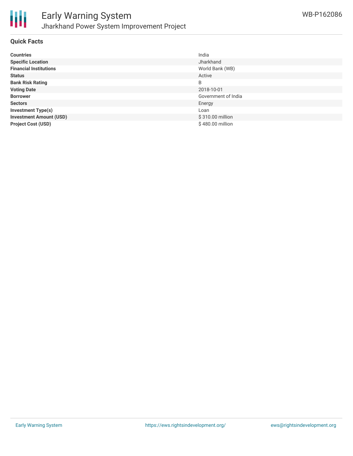

### **Quick Facts**

| <b>Countries</b>               | India               |
|--------------------------------|---------------------|
| <b>Specific Location</b>       | Jharkhand           |
| <b>Financial Institutions</b>  | World Bank (WB)     |
| <b>Status</b>                  | Active              |
| <b>Bank Risk Rating</b>        | B                   |
| <b>Voting Date</b>             | 2018-10-01          |
| <b>Borrower</b>                | Government of India |
| <b>Sectors</b>                 | Energy              |
| <b>Investment Type(s)</b>      | Loan                |
| <b>Investment Amount (USD)</b> | \$310.00 million    |
| <b>Project Cost (USD)</b>      | \$480.00 million    |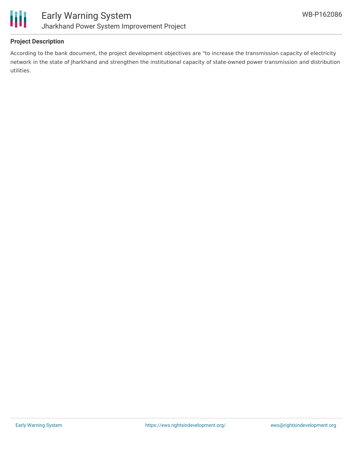

### **Project Description**

According to the bank document, the project development objectives are "to increase the transmission capacity of electricity network in the state of Jharkhand and strengthen the institutional capacity of state-owned power transmission and distribution utilities.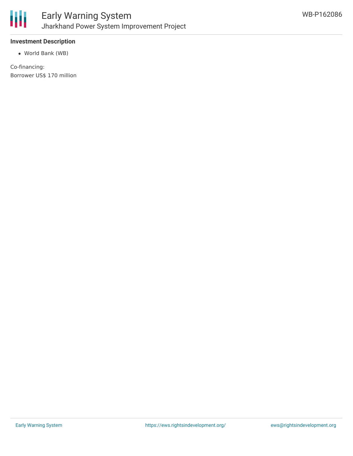

### **Investment Description**

World Bank (WB)

Co-financing: Borrower US\$ 170 million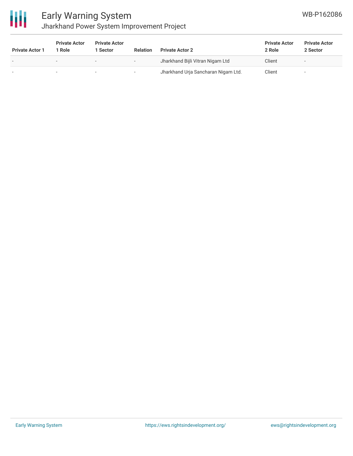

## Early Warning System Jharkhand Power System Improvement Project

| <b>Private Actor 1</b> | <b>Private Actor</b><br>l Role. | <b>Private Actor</b><br>1 Sector | <b>Relation</b> | <b>Private Actor 2</b>              | <b>Private Actor</b><br>2 Role | <b>Private Actor</b><br>2 Sector |
|------------------------|---------------------------------|----------------------------------|-----------------|-------------------------------------|--------------------------------|----------------------------------|
|                        | $\overline{\phantom{0}}$        |                                  |                 | Jharkhand Bijli Vitran Nigam Ltd    | Client                         |                                  |
|                        | . .                             | ۰                                |                 | Jharkhand Urja Sancharan Nigam Ltd. | Client                         |                                  |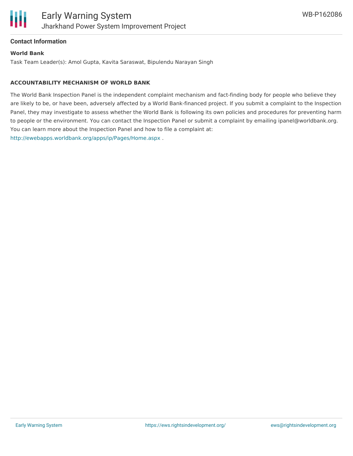

### **Contact Information**

### **World Bank**

Task Team Leader(s): Amol Gupta, Kavita Saraswat, Bipulendu Narayan Singh

### **ACCOUNTABILITY MECHANISM OF WORLD BANK**

The World Bank Inspection Panel is the independent complaint mechanism and fact-finding body for people who believe they are likely to be, or have been, adversely affected by a World Bank-financed project. If you submit a complaint to the Inspection Panel, they may investigate to assess whether the World Bank is following its own policies and procedures for preventing harm to people or the environment. You can contact the Inspection Panel or submit a complaint by emailing ipanel@worldbank.org. You can learn more about the Inspection Panel and how to file a complaint at: <http://ewebapps.worldbank.org/apps/ip/Pages/Home.aspx> .